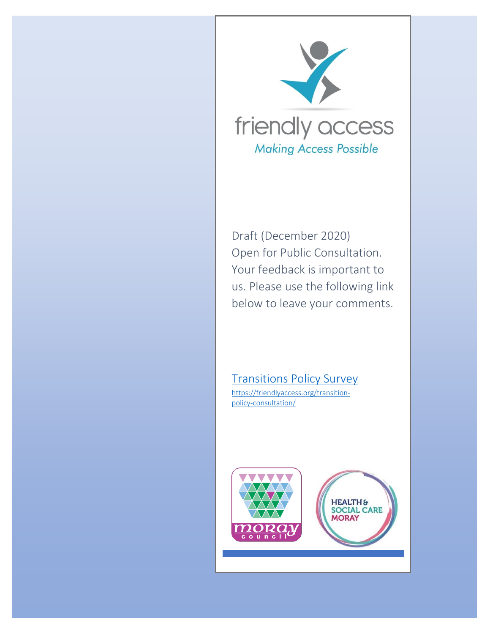

Draft (December 2020) Open for Public Consultation. Your feedback is important to us. Please use the following link below to leave your comments.

[Transitions Policy Survey](about:blank) [https://friendlyaccess.org/transition](about:blank)[policy-consultation/](about:blank)

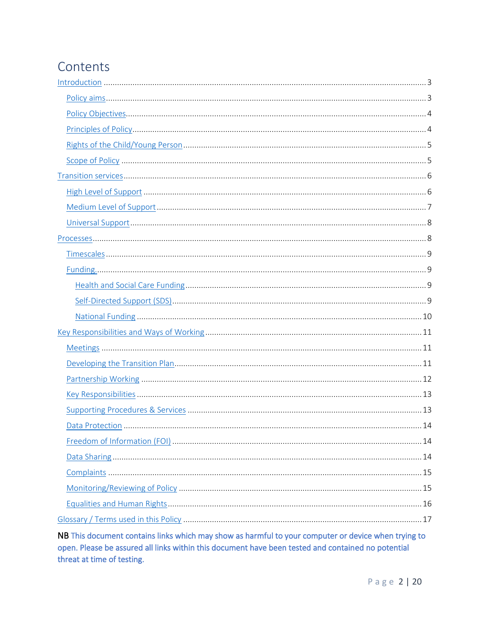# Contents

NB This document contains links which may show as harmful to your computer or device when trying to open. Please be assured all links within this document have been tested and contained no potential threat at time of testing.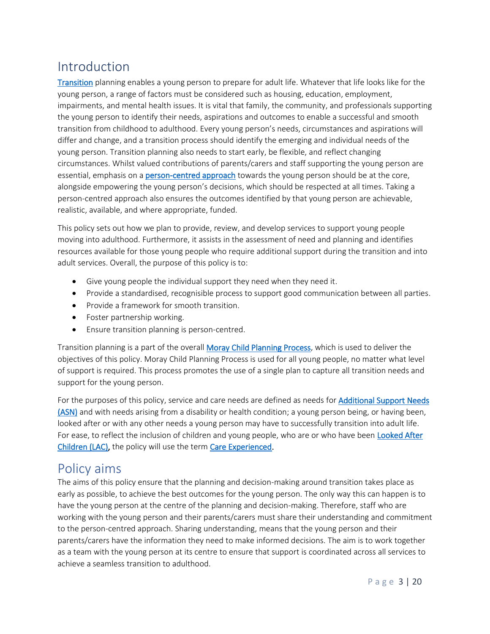## <span id="page-2-0"></span>Introduction

[Transition](#page-19-0) planning enables a young person to prepare for adult life. Whatever that life looks like for the young person, a range of factors must be considered such as housing, education, employment, impairments, and mental health issues. It is vital that family, the community, and professionals supporting the young person to identify their needs, aspirations and outcomes to enable a successful and smooth transition from childhood to adulthood. Every young person's needs, circumstances and aspirations will differ and change, and a transition process should identify the emerging and individual needs of the young person. Transition planning also needs to start early, be flexible, and reflect changing circumstances. Whilst valued contributions of parents/carers and staff supporting the young person are essential, emphasis on [a person-centred approach](#page-18-0) towards the young person should be at the core, alongside empowering the young person's decisions, which should be respected at all times. Taking a person-centred approach also ensures the outcomes identified by that young person are achievable, realistic, available, and where appropriate, funded.

This policy sets out how we plan to provide, review, and develop services to support young people moving into adulthood. Furthermore, it assists in the assessment of need and planning and identifies resources available for those young people who require additional support during the transition and into adult services. Overall, the purpose of this policy is to:

- Give young people the individual support they need when they need it.
- Provide a standardised, recognisible process to support good communication between all parties.
- Provide a framework for smooth transition.
- Foster partnership working.
- Ensure transition planning is person-centred.

Transition planning is a part of the overall [Moray Child Planning Process,](#page-18-1) which is used to deliver the objectives of this policy. Moray Child Planning Process is used for all young people, no matter what level of support is required. This process promotes the use of a single plan to capture all transition needs and support for the young person.

For the purposes of this policy, service and care needs are defined as needs for **Additional Support Needs** [\(ASN\)](#page-15-2) and with needs arising from a disability or health condition; a young person being, or having been, looked after or with any other needs a young person may have to successfully transition into adult life. For ease, to reflect the inclusion of children and young people, who are or who have been Looked After [Children \(LAC\),](#page-18-2) the policy will use the term [Care Experienced.](#page-16-0)

## <span id="page-2-1"></span>Policy aims

The aims of this policy ensure that the planning and decision-making around transition takes place as early as possible, to achieve the best outcomes for the young person. The only way this can happen is to have the young person at the centre of the planning and decision-making. Therefore, staff who are working with the young person and their parents/carers must share their understanding and commitment to the person-centred approach. Sharing understanding, means that the young person and their parents/carers have the information they need to make informed decisions. The aim is to work together as a team with the young person at its centre to ensure that support is coordinated across all services to achieve a seamless transition to adulthood.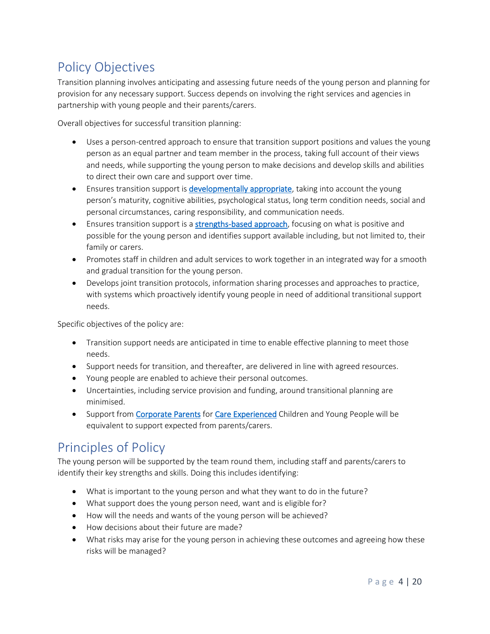# <span id="page-3-0"></span>Policy Objectives

Transition planning involves anticipating and assessing future needs of the young person and planning for provision for any necessary support. Success depends on involving the right services and agencies in partnership with young people and their parents/carers.

Overall objectives for successful transition planning:

- Uses a person-centred approach to ensure that transition support positions and values the young person as an equal partner and team member in the process, taking full account of their views and needs, while supporting the young person to make decisions and develop skills and abilities to direct their own care and support over time.
- Ensures transition support is [developmentally appropriate,](#page-17-0) taking into account the young person's maturity, cognitive abilities, psychological status, long term condition needs, social and personal circumstances, caring responsibility, and communication needs.
- Ensures transition support is a **strengths-based approach**, focusing on what is positive and possible for the young person and identifies support available including, but not limited to, their family or carers.
- Promotes staff in children and adult services to work together in an integrated way for a smooth and gradual transition for the young person.
- Develops joint transition protocols, information sharing processes and approaches to practice, with systems which proactively identify young people in need of additional transitional support needs.

Specific objectives of the policy are:

- Transition support needs are anticipated in time to enable effective planning to meet those needs.
- Support needs for transition, and thereafter, are delivered in line with agreed resources.
- Young people are enabled to achieve their personal outcomes.
- Uncertainties, including service provision and funding, around transitional planning are minimised.
- Support from [Corporate Parents](#page-17-1) fo[r Care Experienced](#page-16-0) Children and Young People will be equivalent to support expected from parents/carers.

## <span id="page-3-1"></span>Principles of Policy

The young person will be supported by the team round them, including staff and parents/carers to identify their key strengths and skills. Doing this includes identifying:

- What is important to the young person and what they want to do in the future?
- What support does the young person need, want and is eligible for?
- How will the needs and wants of the young person will be achieved?
- How decisions about their future are made?
- What risks may arise for the young person in achieving these outcomes and agreeing how these risks will be managed?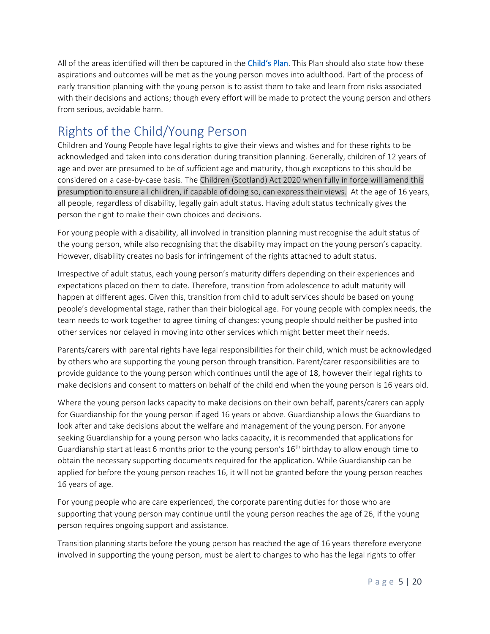All of the areas identified will then be captured in the [Child's Plan](#page-16-1). This Plan should also state how these aspirations and outcomes will be met as the young person moves into adulthood. Part of the process of early transition planning with the young person is to assist them to take and learn from risks associated with their decisions and actions; though every effort will be made to protect the young person and others from serious, avoidable harm.

## <span id="page-4-0"></span>Rights of the Child/Young Person

Children and Young People have legal rights to give their views and wishes and for these rights to be acknowledged and taken into consideration during transition planning. Generally, children of 12 years of age and over are presumed to be of sufficient age and maturity, though exceptions to this should be considered on a case-by-case basis. The Children (Scotland) Act 2020 when fully in force will amend this presumption to ensure all children, if capable of doing so, can express their views. At the age of 16 years, all people, regardless of disability, legally gain adult status. Having adult status technically gives the person the right to make their own choices and decisions.

For young people with a disability, all involved in transition planning must recognise the adult status of the young person, while also recognising that the disability may impact on the young person's capacity. However, disability creates no basis for infringement of the rights attached to adult status.

Irrespective of adult status, each young person's maturity differs depending on their experiences and expectations placed on them to date. Therefore, transition from adolescence to adult maturity will happen at different ages. Given this, transition from child to adult services should be based on young people's developmental stage, rather than their biological age. For young people with complex needs, the team needs to work together to agree timing of changes: young people should neither be pushed into other services nor delayed in moving into other services which might better meet their needs.

Parents/carers with parental rights have legal responsibilities for their child, which must be acknowledged by others who are supporting the young person through transition. Parent/carer responsibilities are to provide guidance to the young person which continues until the age of 18, however their legal rights to make decisions and consent to matters on behalf of the child end when the young person is 16 years old.

Where the young person lacks capacity to make decisions on their own behalf, parents/carers can apply for Guardianship for the young person if aged 16 years or above. Guardianship allows the Guardians to look after and take decisions about the welfare and management of the young person. For anyone seeking Guardianship for a young person who lacks capacity, it is recommended that applications for Guardianship start at least 6 months prior to the young person's 16<sup>th</sup> birthday to allow enough time to obtain the necessary supporting documents required for the application. While Guardianship can be applied for before the young person reaches 16, it will not be granted before the young person reaches 16 years of age.

For young people who are care experienced, the corporate parenting duties for those who are supporting that young person may continue until the young person reaches the age of 26, if the young person requires ongoing support and assistance.

Transition planning starts before the young person has reached the age of 16 years therefore everyone involved in supporting the young person, must be alert to changes to who has the legal rights to offer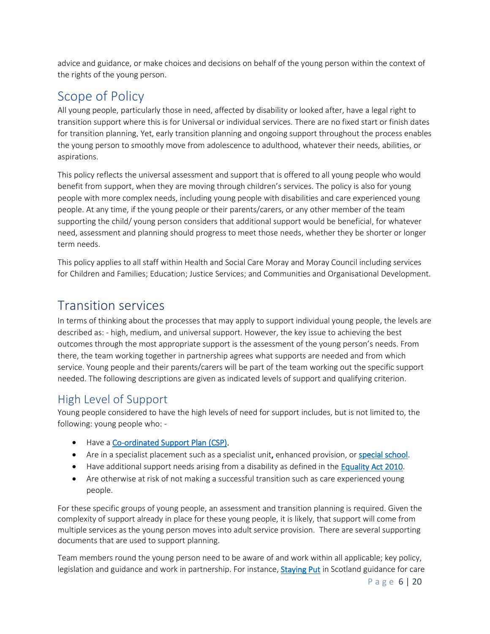advice and guidance, or make choices and decisions on behalf of the young person within the context of the rights of the young person.

## <span id="page-5-0"></span>Scope of Policy

All young people, particularly those in need, affected by disability or looked after, have a legal right to transition support where this is for Universal or individual services. There are no fixed start or finish dates for transition planning. Yet, early transition planning and ongoing support throughout the process enables the young person to smoothly move from adolescence to adulthood, whatever their needs, abilities, or aspirations.

This policy reflects the universal assessment and support that is offered to all young people who would benefit from support, when they are moving through children's services. The policy is also for young people with more complex needs, including young people with disabilities and care experienced young people. At any time, if the young people or their parents/carers, or any other member of the team supporting the child/ young person considers that additional support would be beneficial, for whatever need, assessment and planning should progress to meet those needs, whether they be shorter or longer term needs.

This policy applies to all staff within Health and Social Care Moray and Moray Council including services for Children and Families; Education; Justice Services; and Communities and Organisational Development.

## <span id="page-5-1"></span>Transition services

In terms of thinking about the processes that may apply to support individual young people, the levels are described as: - high, medium, and universal support. However, the key issue to achieving the best outcomes through the most appropriate support is the assessment of the young person's needs. From there, the team working together in partnership agrees what supports are needed and from which service. Young people and their parents/carers will be part of the team working out the specific support needed. The following descriptions are given as indicated levels of support and qualifying criterion.

### <span id="page-5-2"></span>High Level of Support

Young people considered to have the high levels of need for support includes, but is not limited to, the following: young people who: -

- Have [a Co-ordinated Support Plan \(CSP\).](#page-16-2)
- Are in a specialist placement such as a specialist unit, enhanced provision, o[r special school.](#page-18-3)
- Have additional support needs arising from a disability as defined in the [Equality Act 2010.](#page-17-2)
- Are otherwise at risk of not making a successful transition such as care experienced young people.

For these specific groups of young people, an assessment and transition planning is required. Given the complexity of support already in place for these young people, it is likely, that support will come from multiple services as the young person moves into adult service provision. There are several supporting documents that are used to support planning.

Team members round the young person need to be aware of and work within all applicable; key policy, legislation and guidance and work in partnership. For instance, [Staying Put](#page-19-2) in Scotland guidance for care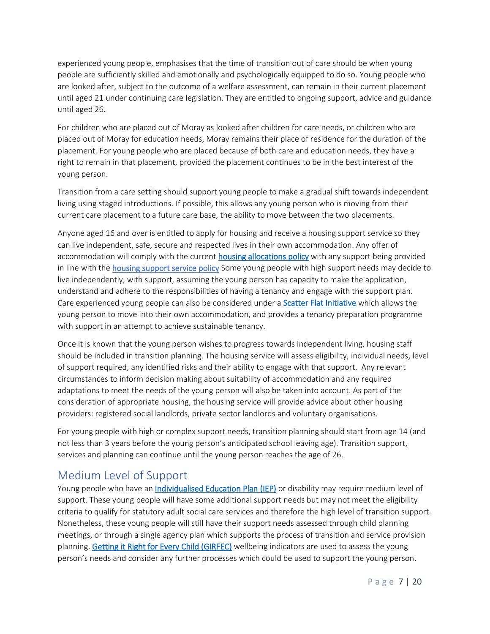experienced young people, emphasises that the time of transition out of care should be when young people are sufficiently skilled and emotionally and psychologically equipped to do so. Young people who are looked after, subject to the outcome of a welfare assessment, can remain in their current placement until aged 21 under continuing care legislation. They are entitled to ongoing support, advice and guidance until aged 26.

For children who are placed out of Moray as looked after children for care needs, or children who are placed out of Moray for education needs, Moray remains their place of residence for the duration of the placement. For young people who are placed because of both care and education needs, they have a right to remain in that placement, provided the placement continues to be in the best interest of the young person.

Transition from a care setting should support young people to make a gradual shift towards independent living using staged introductions. If possible, this allows any young person who is moving from their current care placement to a future care base, the ability to move between the two placements.

Anyone aged 16 and over is entitled to apply for housing and receive a housing support service so they can live independent, safe, secure and respected lives in their own accommodation. Any offer of accommodation will comply with the current housing [allocations policy](about:blank) with any support being provided in line with the [housing support service policy](about:blank) Some young people with high support needs may decide to live independently, with support, assuming the young person has capacity to make the application, understand and adhere to the responsibilities of having a tenancy and engage with the support plan. Care experienced young people can also be considered under a [Scatter Flat Initiative](#page-19-2) which allows the young person to move into their own accommodation, and provides a tenancy preparation programme with support in an attempt to achieve sustainable tenancy.

Once it is known that the young person wishes to progress towards independent living, housing staff should be included in transition planning. The housing service will assess eligibility, individual needs, level of support required, any identified risks and their ability to engage with that support. Any relevant circumstances to inform decision making about suitability of accommodation and any required adaptations to meet the needs of the young person will also be taken into account. As part of the consideration of appropriate housing, the housing service will provide advice about other housing providers: registered social landlords, private sector landlords and voluntary organisations.

For young people with high or complex support needs, transition planning should start from age 14 (and not less than 3 years before the young person's anticipated school leaving age). Transition support, services and planning can continue until the young person reaches the age of 26.

### <span id="page-6-0"></span>Medium Level of Support

Young people who have an *Individualised Education Plan (IEP)* or disability may require medium level of support. These young people will have some additional support needs but may not meet the eligibility criteria to qualify for statutory adult social care services and therefore the high level of transition support. Nonetheless, these young people will still have their support needs assessed through child planning meetings, or through a single agency plan which supports the process of transition and service provision planning. [Getting it Right for Every Child \(GIRFEC\)](#page-17-3) wellbeing indicators are used to assess the young person's needs and consider any further processes which could be used to support the young person.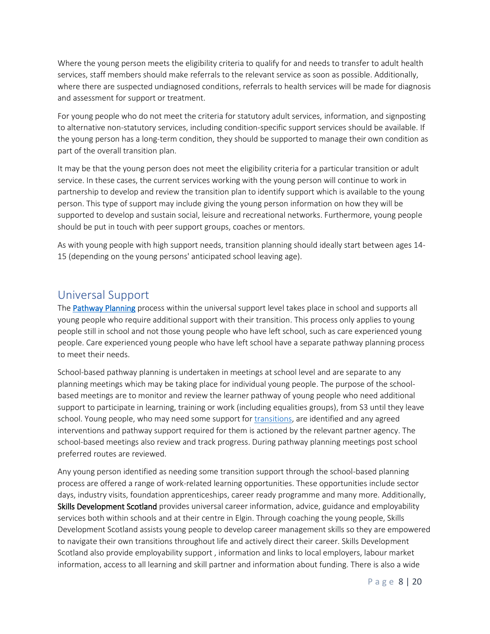Where the young person meets the eligibility criteria to qualify for and needs to transfer to adult health services, staff members should make referrals to the relevant service as soon as possible. Additionally, where there are suspected undiagnosed conditions, referrals to health services will be made for diagnosis and assessment for support or treatment.

For young people who do not meet the criteria for statutory adult services, information, and signposting to alternative non-statutory services, including condition-specific support services should be available. If the young person has a long-term condition, they should be supported to manage their own condition as part of the overall transition plan.

It may be that the young person does not meet the eligibility criteria for a particular transition or adult service. In these cases, the current services working with the young person will continue to work in partnership to develop and review the transition plan to identify support which is available to the young person. This type of support may include giving the young person information on how they will be supported to develop and sustain social, leisure and recreational networks. Furthermore, young people should be put in touch with peer support groups, coaches or mentors.

As with young people with high support needs, transition planning should ideally start between ages 14- 15 (depending on the young persons' anticipated school leaving age).

### <span id="page-7-0"></span>Universal Support

The [Pathway Planning](#page-18-5) process within the universal support level takes place in school and supports all young people who require additional support with their transition. This process only applies to young people still in school and not those young people who have left school, such as care experienced young people. Care experienced young people who have left school have a separate pathway planning process to meet their needs.

School-based pathway planning is undertaken in meetings at school level and are separate to any planning meetings which may be taking place for individual young people. The purpose of the schoolbased meetings are to monitor and review the learner pathway of young people who need additional support to participate in learning, training or work (including equalities groups), from S3 until they leave school. Young people, who may need some support for [transitions,](#page-19-3) are identified and any agreed interventions and pathway support required for them is actioned by the relevant partner agency. The school-based meetings also review and track progress. During pathway planning meetings post school preferred routes are reviewed.

Any young person identified as needing some transition support through the school-based planning process are offered a range of work-related learning opportunities. These opportunities include sector days, industry visits, foundation apprenticeships, career ready programme and many more. Additionally, Skills Development Scotland provides universal career information, advice, guidance and employability services both within schools and at their centre in Elgin. Through coaching the young people, Skills Development Scotland assists young people to develop career management skills so they are empowered to navigate their own transitions throughout life and actively direct their career. Skills Development Scotland also provide employability support , information and links to local employers, labour market information, access to all learning and skill partner and information about funding. There is also a wide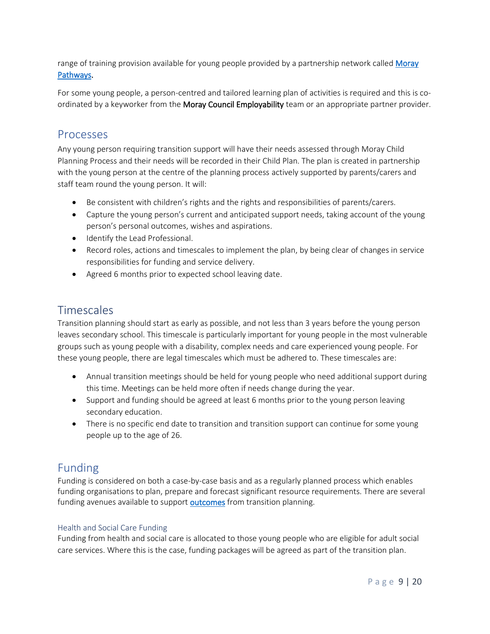range of training provision available for young people provided by a partnership network called Moray [Pathways.](#page-18-5)

For some young people, a person-centred and tailored learning plan of activities is required and this is coordinated by a keyworker from the Moray Council Employability team or an appropriate partner provider.

### <span id="page-8-0"></span>Processes

Any young person requiring transition support will have their needs assessed through Moray Child Planning Process and their needs will be recorded in their Child Plan. The plan is created in partnership with the young person at the centre of the planning process actively supported by parents/carers and staff team round the young person. It will:

- Be consistent with children's rights and the rights and responsibilities of parents/carers.
- Capture the young person's current and anticipated support needs, taking account of the young person's personal outcomes, wishes and aspirations.
- Identify the Lead Professional.
- Record roles, actions and timescales to implement the plan, by being clear of changes in service responsibilities for funding and service delivery.
- Agreed 6 months prior to expected school leaving date.

### <span id="page-8-1"></span>Timescales

Transition planning should start as early as possible, and not less than 3 years before the young person leaves secondary school. This timescale is particularly important for young people in the most vulnerable groups such as young people with a disability, complex needs and care experienced young people. For these young people, there are legal timescales which must be adhered to. These timescales are:

- Annual transition meetings should be held for young people who need additional support during this time. Meetings can be held more often if needs change during the year.
- Support and funding should be agreed at least 6 months prior to the young person leaving secondary education.
- There is no specific end date to transition and transition support can continue for some young people up to the age of 26.

### <span id="page-8-2"></span>Funding

Funding is considered on both a case-by-case basis and as a regularly planned process which enables funding organisations to plan, prepare and forecast significant resource requirements. There are several funding avenues available to suppor[t outcomes](#page-18-6) from transition planning.

#### <span id="page-8-3"></span>Health and Social Care Funding

Funding from health and social care is allocated to those young people who are eligible for adult social care services. Where this is the case, funding packages will be agreed as part of the transition plan.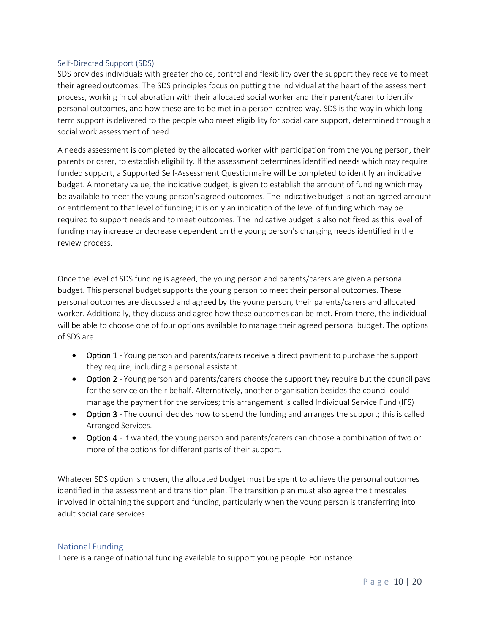#### <span id="page-9-0"></span>Self-Directed Support (SDS)

SDS provides individuals with greater choice, control and flexibility over the support they receive to meet their agreed outcomes. The SDS principles focus on putting the individual at the heart of the assessment process, working in collaboration with their allocated social worker and their parent/carer to identify personal outcomes, and how these are to be met in a person-centred way. SDS is the way in which long term support is delivered to the people who meet eligibility for social care support, determined through a social work assessment of need.

A needs assessment is completed by the allocated worker with participation from the young person, their parents or carer, to establish eligibility. If the assessment determines identified needs which may require funded support, a Supported Self-Assessment Questionnaire will be completed to identify an indicative budget. A monetary value, the indicative budget, is given to establish the amount of funding which may be available to meet the young person's agreed outcomes. The indicative budget is not an agreed amount or entitlement to that level of funding; it is only an indication of the level of funding which may be required to support needs and to meet outcomes. The indicative budget is also not fixed as this level of funding may increase or decrease dependent on the young person's changing needs identified in the review process.

Once the level of SDS funding is agreed, the young person and parents/carers are given a personal budget. This personal budget supports the young person to meet their personal outcomes. These personal outcomes are discussed and agreed by the young person, their parents/carers and allocated worker. Additionally, they discuss and agree how these outcomes can be met. From there, the individual will be able to choose one of four options available to manage their agreed personal budget. The options of SDS are:

- Option 1 Young person and parents/carers receive a direct payment to purchase the support they require, including a personal assistant.
- Option 2 Young person and parents/carers choose the support they require but the council pays for the service on their behalf. Alternatively, another organisation besides the council could manage the payment for the services; this arrangement is called Individual Service Fund (IFS)
- Option 3 The council decides how to spend the funding and arranges the support; this is called Arranged Services.
- Option 4 If wanted, the young person and parents/carers can choose a combination of two or more of the options for different parts of their support.

Whatever SDS option is chosen, the allocated budget must be spent to achieve the personal outcomes identified in the assessment and transition plan. The transition plan must also agree the timescales involved in obtaining the support and funding, particularly when the young person is transferring into adult social care services.

#### <span id="page-9-1"></span>National Funding

There is a range of national funding available to support young people. For instance: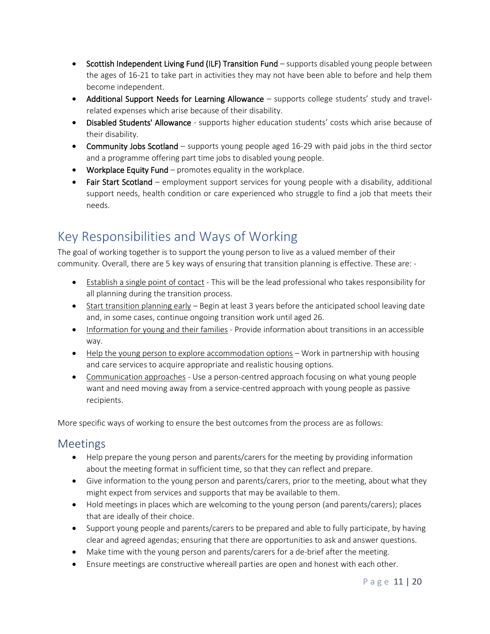- Scottish Independent Living Fund (ILF) Transition Fund supports disabled young people between the ages of 16-21 to take part in activities they may not have been able to before and help them become independent.
- Additional Support Needs for Learning Allowance supports college students' study and travelrelated expenses which arise because of their disability.
- Disabled Students' Allowance supports higher education students' costs which arise because of their disability.
- Community Jobs Scotland supports young people aged 16-29 with paid jobs in the third sector and a programme offering part time jobs to disabled young people.
- Workplace Equity Fund promotes equality in the workplace.
- Fair Start Scotland employment support services for young people with a disability, additional support needs, health condition or care experienced who struggle to find a job that meets their needs.

# <span id="page-10-0"></span>Key Responsibilities and Ways of Working

The goal of working together is to support the young person to live as a valued member of their community. Overall, there are 5 key ways of ensuring that transition planning is effective. These are: -

- Establish a single point of contact This will be the lead professional who takes responsibility for all planning during the transition process.
- Start transition planning early Begin at least 3 years before the anticipated school leaving date and, in some cases, continue ongoing transition work until aged 26.
- Information for young and their families Provide information about transitions in an accessible way.
- Help the young person to explore accommodation options Work in partnership with housing and care services to acquire appropriate and realistic housing options.
- Communication approaches Use a person-centred approach focusing on what young people want and need moving away from a service-centred approach with young people as passive recipients.

More specific ways of working to ensure the best outcomes from the process are as follows:

### <span id="page-10-1"></span>Meetings

- Help prepare the young person and parents/carers for the meeting by providing information about the meeting format in sufficient time, so that they can reflect and prepare.
- Give information to the young person and parents/carers, prior to the meeting, about what they might expect from services and supports that may be available to them.
- Hold meetings in places which are welcoming to the young person (and parents/carers); places that are ideally of their choice.
- Support young people and parents/carers to be prepared and able to fully participate, by having clear and agreed agendas; ensuring that there are opportunities to ask and answer questions.
- Make time with the young person and parents/carers for a de-brief after the meeting.
- Ensure meetings are constructive whereall parties are open and honest with each other.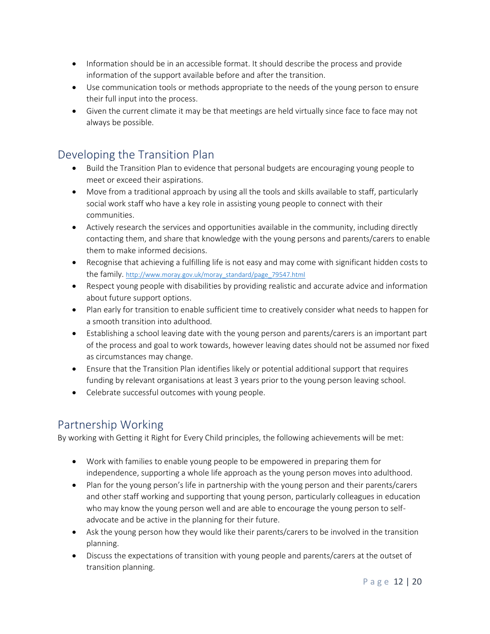- Information should be in an accessible format. It should describe the process and provide information of the support available before and after the transition.
- Use communication tools or methods appropriate to the needs of the young person to ensure their full input into the process.
- Given the current climate it may be that meetings are held virtually since face to face may not always be possible.

### <span id="page-11-0"></span>Developing the Transition Plan

- Build the Transition Plan to evidence that personal budgets are encouraging young people to meet or exceed their aspirations.
- Move from a traditional approach by using all the tools and skills available to staff, particularly social work staff who have a key role in assisting young people to connect with their communities.
- Actively research the services and opportunities available in the community, including directly contacting them, and share that knowledge with the young persons and parents/carers to enable them to make informed decisions.
- Recognise that achieving a fulfilling life is not easy and may come with significant hidden costs to the family. [http://www.moray.gov.uk/moray\\_standard/page\\_79547.html](about:blank)
- Respect young people with disabilities by providing realistic and accurate advice and information about future support options.
- Plan early for transition to enable sufficient time to creatively consider what needs to happen for a smooth transition into adulthood.
- Establishing a school leaving date with the young person and parents/carers is an important part of the process and goal to work towards, however leaving dates should not be assumed nor fixed as circumstances may change.
- Ensure that the Transition Plan identifies likely or potential additional support that requires funding by relevant organisations at least 3 years prior to the young person leaving school.
- Celebrate successful outcomes with young people.

### <span id="page-11-1"></span>Partnership Working

By working with Getting it Right for Every Child principles, the following achievements will be met:

- Work with families to enable young people to be empowered in preparing them for independence, supporting a whole life approach as the young person moves into adulthood.
- Plan for the young person's life in partnership with the young person and their parents/carers and other staff working and supporting that young person, particularly colleagues in education who may know the young person well and are able to encourage the young person to selfadvocate and be active in the planning for their future.
- Ask the young person how they would like their parents/carers to be involved in the transition planning.
- Discuss the expectations of transition with young people and parents/carers at the outset of transition planning.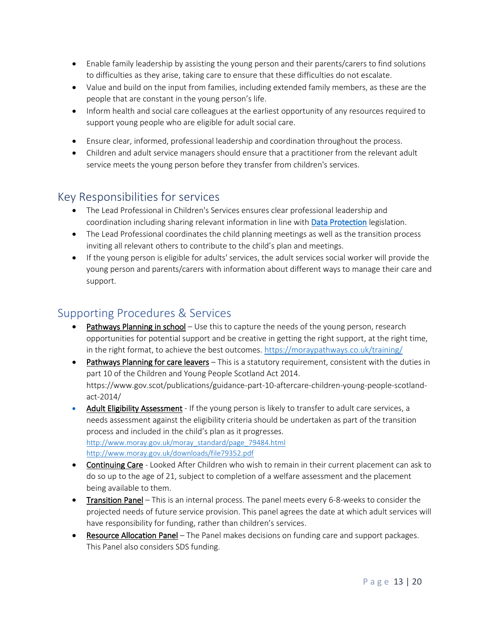- Enable family leadership by assisting the young person and their parents/carers to find solutions to difficulties as they arise, taking care to ensure that these difficulties do not escalate.
- Value and build on the input from families, including extended family members, as these are the people that are constant in the young person's life.
- Inform health and social care colleagues at the earliest opportunity of any resources required to support young people who are eligible for adult social care.
- Ensure clear, informed, professional leadership and coordination throughout the process.
- Children and adult service managers should ensure that a practitioner from the relevant adult service meets the young person before they transfer from children's services.

### <span id="page-12-0"></span>Key Responsibilities for services

- The Lead Professional in Children's Services ensures clear professional leadership and coordination including sharing relevant information in line with **Data Protection** legislation.
- The Lead Professional coordinates the child planning meetings as well as the transition process inviting all relevant others to contribute to the child's plan and meetings.
- If the young person is eligible for adults' services, the adult services social worker will provide the young person and parents/carers with information about different ways to manage their care and support.

### <span id="page-12-1"></span>Supporting Procedures & Services

- Pathways Planning in school Use this to capture the needs of the young person, research opportunities for potential support and be creative in getting the right support, at the right time, in the right format, to achieve the best outcomes. [https://moraypathways.co.uk/training/](about:blank)
- Pathways Planning for care leavers This is a statutory requirement, consistent with the duties in part 10 of the Children and Young People Scotland Act 2014. [https://www.gov.scot/publications/guidance-part-10-aftercare-children-young-people-scotland](about:blank)[act-2014/](about:blank)
- Adult Eligibility Assessment If the young person is likely to transfer to adult care services, a needs assessment against the eligibility criteria should be undertaken as part of the transition process and included in the child's plan as it progresses. http://www.moray.gov.uk/moray\_standard/page\_79484.html http://www.moray.gov.uk/downloads/file79352.pdf
- Continuing Care Looked After Children who wish to remain in their current placement can ask to do so up to the age of 21, subject to completion of a welfare assessment and the placement being available to them.
- Transition Panel This is an internal process. The panel meets every 6-8-weeks to consider the projected needs of future service provision. This panel agrees the date at which adult services will have responsibility for funding, rather than children's services.
- Resource Allocation Panel The Panel makes decisions on funding care and support packages. This Panel also considers SDS funding.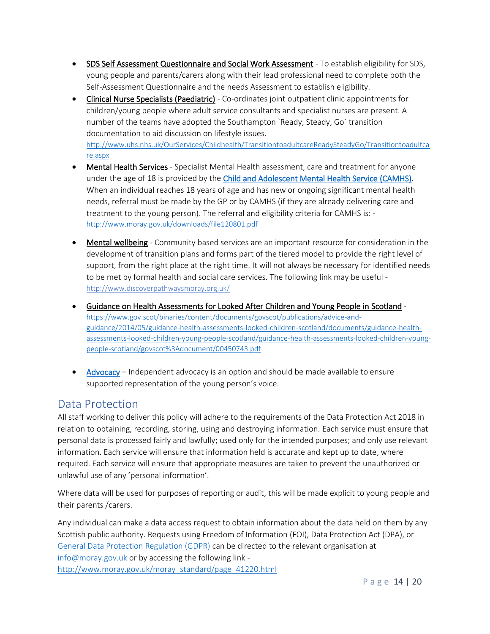- SDS Self Assessment Questionnaire and Social Work Assessment To establish eligibility for SDS, young people and parents/carers along with their lead professional need to complete both the Self-Assessment Questionnaire and the needs Assessment to establish eligibility.
- Clinical Nurse Specialists (Paediatric) Co-ordinates joint outpatient clinic appointments for children/young people where adult service consultants and specialist nurses are present. A number of the teams have adopted the Southampton `Ready, Steady, Go` transition documentation to aid discussion on lifestyle issues. [http://www.uhs.nhs.uk/OurServices/Childhealth/TransitiontoadultcareReadySteadyGo/Transitiontoadultca](about:blank) [re.aspx](about:blank)
- Mental Health Services Specialist Mental Health assessment, care and treatment for anyone under the age of 18 is provided by the [Child and Adolescent Mental Health Service \(CAMHS\).](#page-16-3) When an individual reaches 18 years of age and has new or ongoing significant mental health needs, referral must be made by the GP or by CAMHS (if they are already delivering care and treatment to the young person). The referral and eligibility criteria for CAMHS is: [http://www.moray.gov.uk/downloads/file120801.pdf](about:blank)
- Mental wellbeing Community based services are an important resource for consideration in the development of transition plans and forms part of the tiered model to provide the right level of support, from the right place at the right time. It will not always be necessary for identified needs to be met by formal health and social care services. The following link may be useful [http://www.discoverpathwaysmoray.org.uk/](about:blank)
- Guidance on Health Assessments for Looked After Children and Young People in Scotland [https://www.gov.scot/binaries/content/documents/govscot/publications/advice-and](about:blank)[guidance/2014/05/guidance-health-assessments-looked-children-scotland/documents/guidance-health](about:blank)[assessments-looked-children-young-people-scotland/guidance-health-assessments-looked-children-young](about:blank)[people-scotland/govscot%3Adocument/00450743.pdf](about:blank)
- [Advocacy](#page-16-4) Independent advocacy is an option and should be made available to ensure supported representation of the young person's voice.

### <span id="page-13-0"></span>Data Protection

All staff working to deliver this policy will adhere to the requirements of the Data Protection Act 2018 in relation to obtaining, recording, storing, using and destroying information. Each service must ensure that personal data is processed fairly and lawfully; used only for the intended purposes; and only use relevant information. Each service will ensure that information held is accurate and kept up to date, where required. Each service will ensure that appropriate measures are taken to prevent the unauthorized or unlawful use of any 'personal information'.

Where data will be used for purposes of reporting or audit, this will be made explicit to young people and their parents /carers.

Any individual can make a data access request to obtain information about the data held on them by any Scottish public authority. Requests using Freedom of Information (FOI), Data Protection Act (DPA), or [General Data Protection Regulation \(GDPR\)](#page-17-4) can be directed to the relevant organisation at [info@moray.gov.uk](about:blank) or by accessing the following link [http://www.moray.gov.uk/moray\\_standard/page\\_41220.html](about:blank)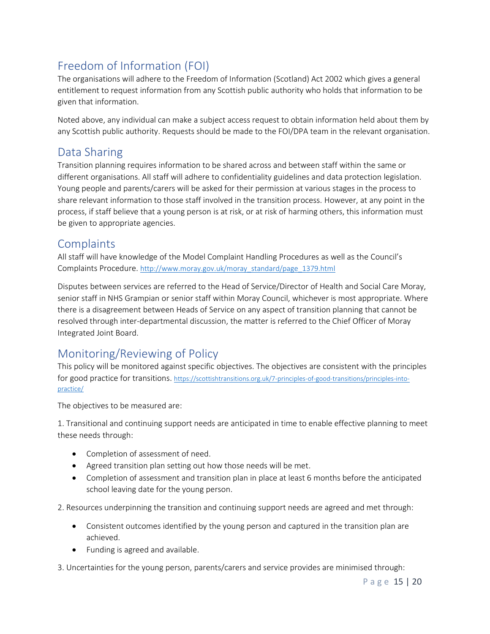## <span id="page-14-0"></span>Freedom of Information (FOI)

The organisations will adhere to the Freedom of Information (Scotland) Act 2002 which gives a general entitlement to request information from any Scottish public authority who holds that information to be given that information.

Noted above, any individual can make a subject access request to obtain information held about them by any Scottish public authority. Requests should be made to the FOI/DPA team in the relevant organisation.

## <span id="page-14-1"></span>Data Sharing

Transition planning requires information to be shared across and between staff within the same or different organisations. All staff will adhere to confidentiality guidelines and data protection legislation. Young people and parents/carers will be asked for their permission at various stages in the process to share relevant information to those staff involved in the transition process. However, at any point in the process, if staff believe that a young person is at risk, or at risk of harming others, this information must be given to appropriate agencies.

### <span id="page-14-2"></span>**Complaints**

All staff will have knowledge of the Model Complaint Handling Procedures as well as the Council's Complaints Procedure. [http://www.moray.gov.uk/moray\\_standard/page\\_1379.html](about:blank)

Disputes between services are referred to the Head of Service/Director of Health and Social Care Moray, senior staff in NHS Grampian or senior staff within Moray Council, whichever is most appropriate. Where there is a disagreement between Heads of Service on any aspect of transition planning that cannot be resolved through inter-departmental discussion, the matter is referred to the Chief Officer of Moray Integrated Joint Board.

## <span id="page-14-3"></span>Monitoring/Reviewing of Policy

This policy will be monitored against specific objectives. The objectives are consistent with the principles for good practice for transitions. [https://scottishtransitions.org.uk/7-principles-of-good-transitions/principles-into](about:blank)[practice/](about:blank)

The objectives to be measured are:

1. Transitional and continuing support needs are anticipated in time to enable effective planning to meet these needs through:

- Completion of assessment of need.
- Agreed transition plan setting out how those needs will be met.
- Completion of assessment and transition plan in place at least 6 months before the anticipated school leaving date for the young person.

2. Resources underpinning the transition and continuing support needs are agreed and met through:

- Consistent outcomes identified by the young person and captured in the transition plan are achieved.
- Funding is agreed and available.

3. Uncertainties for the young person, parents/carers and service provides are minimised through: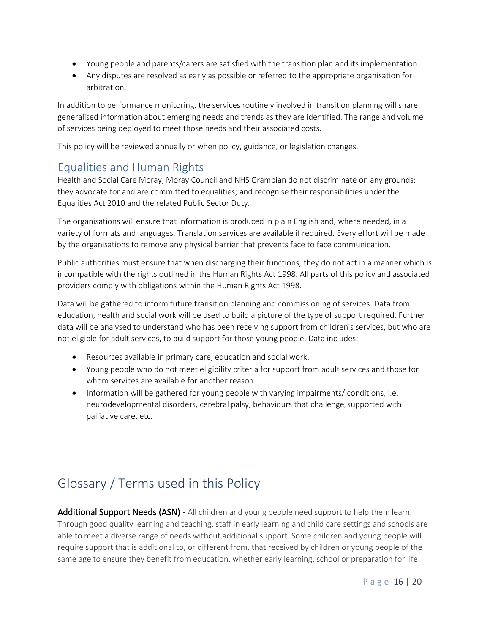- Young people and parents/carers are satisfied with the transition plan and its implementation.
- Any disputes are resolved as early as possible or referred to the appropriate organisation for arbitration.

In addition to performance monitoring, the services routinely involved in transition planning will share generalised information about emerging needs and trends as they are identified. The range and volume of services being deployed to meet those needs and their associated costs.

This policy will be reviewed annually or when policy, guidance, or legislation changes.

### <span id="page-15-0"></span>Equalities and Human Rights

Health and Social Care Moray, Moray Council and NHS Grampian do not discriminate on any grounds; they advocate for and are committed to equalities; and recognise their responsibilities under the Equalities Act 2010 and the related Public Sector Duty.

The organisations will ensure that information is produced in plain English and, where needed, in a variety of formats and languages. Translation services are available if required. Every effort will be made by the organisations to remove any physical barrier that prevents face to face communication.

Public authorities must ensure that when discharging their functions, they do not act in a manner which is incompatible with the rights outlined in the Human Rights Act 1998. All parts of this policy and associated providers comply with obligations within the Human Rights Act 1998.

Data will be gathered to inform future transition planning and commissioning of services. Data from education, health and social work will be used to build a picture of the type of support required. Further data will be analysed to understand who has been receiving support from children's services, but who are not eligible for adult services, to build support for those young people. Data includes: -

- Resources available in primary care, education and social work.
- Young people who do not meet eligibility criteria for support from adult services and those for whom services are available for another reason.
- Information will be gathered for young people with varying impairments/ conditions, i.e. neurodevelopmental disorders, cerebral palsy, behaviours that challenge, supported with palliative care, etc.

# <span id="page-15-1"></span>Glossary / Terms used in this Policy

<span id="page-15-2"></span>Additional Support Needs (ASN) - All children and young people need support to help them learn. Through good quality learning and teaching, staff in early learning and child care settings and schools are able to meet a diverse range of needs without additional support. Some children and young people will require support that is additional to, or different from, that received by children or young people of the same age to ensure they benefit from education, whether early learning, school or preparation for life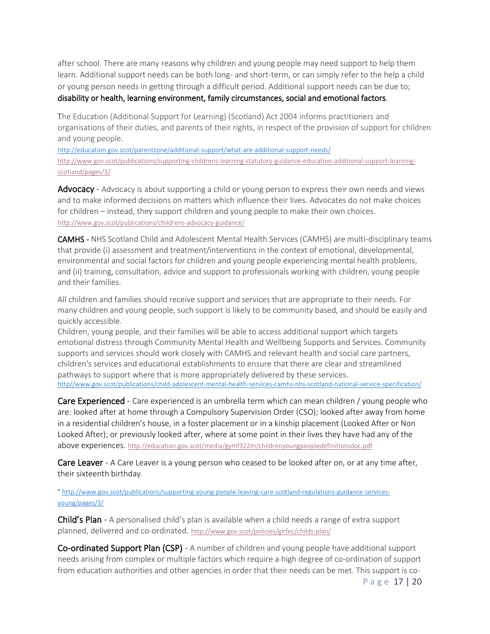after school. There are many reasons why children and young people may need support to help them learn. Additional support needs can be both long- and short-term, or can simply refer to the help a child or young person needs in getting through a difficult period. Additional support needs can be due to; [disability or health, learning environment, family circumstances, social and emotional factors.](about:blank)

The Education (Additional Support for Learning) (Scotland) Act 2004 informs practitioners and organisations of their duties, and parents of their rights, in respect of the provision of support for children and young people.

[http://education.gov.scot/parentzone/additional-support/what-are-additional-support-needs/](about:blank) [http://www.gov.scot/publications/supporting-childrens-learning-statutory-guidance-education-additional-support-learning](about:blank)[scotland/pages/3/](about:blank)

<span id="page-16-4"></span>Advocacy - Advocacy is about supporting a child or young person to express their own needs and views and to make informed decisions on matters which influence their lives. Advocates do not make choices for children – instead, they support children and young people to make their own choices. [http://www.gov.scot/publications/childrens-advocacy-guidance/](about:blank)

<span id="page-16-3"></span>CAMHS - NHS Scotland Child and Adolescent Mental Health Services (CAMHS) are multi-disciplinary teams that provide (i) assessment and treatment/interventions in the context of emotional, developmental, environmental and social factors for children and young people experiencing mental health problems, and (ii) training, consultation, advice and support to professionals working with children, young people and their families.

All children and families should receive support and services that are appropriate to their needs. For many children and young people, such support is likely to be community based, and should be easily and quickly accessible.

Children, young people, and their families will be able to access additional support which targets emotional distress through Community Mental Health and Wellbeing Supports and Services. Community supports and services should work closely with CAMHS and relevant health and social care partners, children's services and educational establishments to ensure that there are clear and streamlined pathways to support where that is more appropriately delivered by these services. http//www.gov.scot/publications/child-adolescent-mental-health-services-camhs-nhs-scotland-national-service-specification/

<span id="page-16-0"></span>Care Experienced - Care experienced is an umbrella term which can mean children / young people who are: looked after at home through a Compulsory Supervision Order (CSO); looked after away from home in a residential children's house, in a foster placement or in a kinship placement (Looked After or Non Looked After); or previously looked after, where at some point in their lives they have had any of the above experiences. [http://education.gov.scot/media/gymf322m/childrenyoungpeopledefinitionsdoc.pdf](about:blank)

**Care Leaver** - A Care Leaver is a young person who ceased to be looked after on, or at any time after, their sixteenth birthday.

" http://www.gov.scot/publications/supporting-young-people-leaving-care-scotland-regulations-guidance-servicesyoung/pages/3/

<span id="page-16-1"></span>Child's Plan - A personalised child's plan is available when a child needs a range of extra support planned, delivered and co-ordinated. [http://www.gov.scot/policies/girfec/childs-plan/](about:blank)

<span id="page-16-2"></span>Co-ordinated Support Plan (CSP) - A number of children and young people have additional support needs arising from complex or multiple factors which require a high degree of co-ordination of support from education authorities and other agencies in order that their needs can be met. This support is co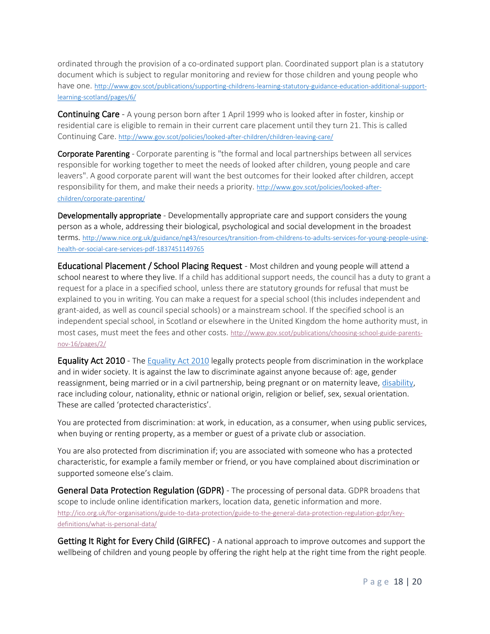ordinated through the provision of a co-ordinated support plan. Coordinated support plan is a statutory document which is subject to regular monitoring and review for those children and young people who have one. http://www.gov.scot/publications/supporting-childrens-learning-statutory-guidance-education-additional-supportlearning-scotland/pages/6/

Continuing Care - A young person born after 1 April 1999 who is looked after in foster, kinship or residential care is eligible to remain in their current care placement until they turn 21. This is called Continuing Care. [http://www.gov.scot/policies/looked-after-children/children-leaving-care/](about:blank)

<span id="page-17-1"></span>Corporate Parenting - Corporate parenting is "the formal and local partnerships between all services responsible for working together to meet the needs of looked after children, young people and care leavers". A good corporate parent will want the best outcomes for their looked after children, accept responsibility for them, and make their needs a priority. http://www.gov.scot/policies/looked-afterchildren/corporate-parenting/

<span id="page-17-0"></span>Developmentally appropriate - Developmentally appropriate care and support considers the young person as a whole, addressing their biological, psychological and social development in the broadest terms. [http://www.nice.org.uk/guidance/ng43/resources/transition-from-childrens-to-adults-services-for-young-people-using](about:blank)[health-or-social-care-services-pdf-1837451149765](about:blank)

Educational Placement / School Placing Request - Most children and young people will attend a school nearest to where they live. If a child has additional support needs, the council has a duty to grant a request for a place in a specified school, unless there are statutory grounds for refusal that must be explained to you in writing. You can make a request for a special school (this includes independent and grant-aided, as well as council special schools) or a mainstream school. If the specified school is an independent special school, in Scotland or elsewhere in the United Kingdom the home authority must, in most cases, must meet the fees and other costs. [http://www.gov.scot/publications/choosing-school-guide-parents](about:blank)[nov-16/pages/2/](about:blank)

<span id="page-17-2"></span>Equality Act 2010 - The [Equality Act 2010](about:blank) legally protects people from discrimination in the workplace and in wider society. It is against the law to discriminate against anyone because of: age, gender reassignment, being married or in a civil partnership, being pregnant or on maternity leave, [disability,](about:blank) race including colour, nationality, ethnic or national origin, religion or belief, sex, sexual orientation. These are called 'protected characteristics'.

You are protected from discrimination: at work, in education, as a consumer, when using public services, when buying or renting property, as a member or guest of a private club or association.

You are also protected from discrimination if; you are associated with someone who has a protected characteristic, for example a family member or friend, or you have complained about discrimination or supported someone else's claim.

<span id="page-17-4"></span>General Data Protection Regulation (GDPR) - The processing of personal data. GDPR broadens that scope to include online identification markers, location data, genetic information and more. [http://ico.org.uk/for-organisations/guide-to-data-protection/guide-to-the-general-data-protection-regulation-gdpr/key](about:blank)[definitions/what-is-personal-data/](about:blank)

<span id="page-17-3"></span>Getting It Right for Every Child (GIRFEC) - A national approach to improve outcomes and support the wellbeing of children and young people by offering the right help at the right time from the right people.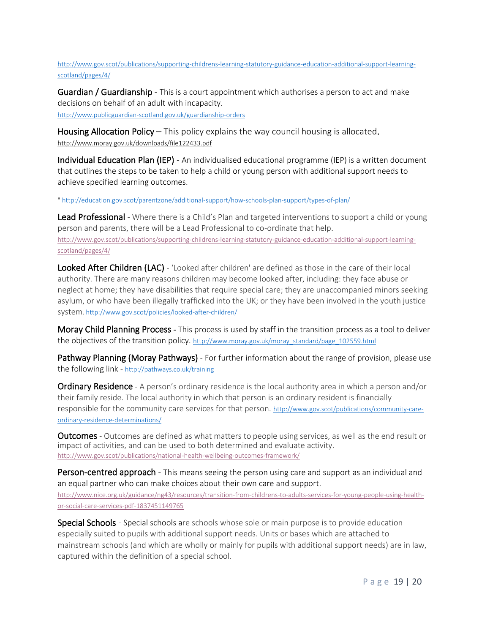[http://www.gov.scot/publications/supporting-childrens-learning-statutory-guidance-education-additional-support-learning](about:blank)[scotland/pages/4/](about:blank)

Guardian / Guardianship - This is a court appointment which authorises a person to act and make decisions on behalf of an adult with incapacity. [http://www.publicguardian-scotland.gov.uk/guardianship-orders](about:blank)

Housing Allocation Policy – This policy explains the way council housing is allocated. [http://www.moray.gov.uk/downloads/file122433.pdf](about:blank) 

<span id="page-18-4"></span>Individual Education Plan (IEP) - An individualised educational programme (IEP) is a written document that outlines the steps to be taken to help a child or young person with additional support needs to achieve specified learning outcomes.

" http://education.gov.scot/parentzone/additional-support/how-schools-plan-support/types-of-plan/

Lead Professional - Where there is a Child's Plan and targeted interventions to support a child or young person and parents, there will be a Lead Professional to co-ordinate that help. [http://www.gov.scot/publications/supporting-childrens-learning-statutory-guidance-education-additional-support-learning](about:blank)[scotland/pages/4/](about:blank)

<span id="page-18-2"></span>Looked After Children (LAC) - 'Looked after children' are defined as those in the care of their local authority. There are many reasons children may become looked after, including: they face abuse or neglect at home; they have disabilities that require special care; they are unaccompanied minors seeking asylum, or who have been illegally trafficked into the UK; or they have been involved in the youth justice system[. http://www.gov.scot/policies/looked-after-children/](about:blank)

<span id="page-18-1"></span>Moray Child Planning Process - This process is used by staff in the transition process as a tool to deliver the objectives of the transition policy. [http://www.moray.gov.uk/moray\\_standard/page\\_102559.html](about:blank)

<span id="page-18-5"></span>Pathway Planning (Moray Pathways) - For further information about the range of provision, please use the following link - http://pathways.co.uk/training

**Ordinary Residence** - A person's ordinary residence is the local authority area in which a person and/or their family reside. The local authority in which that person is an ordinary resident is financially responsible for the community care services for that person. http://www.gov.scot/publications/community-careordinary-residence-determinations/

<span id="page-18-6"></span>**Outcomes** - Outcomes are defined as what matters to people using services, as well as the end result or impact of activities, and can be used to both determined and evaluate activity. [http://www.gov.scot/publications/national-health-wellbeing-outcomes-framework/](about:blank)

<span id="page-18-0"></span>Person-centred approach - This means seeing the person using care and support as an individual and an equal partner who can make choices about their own care and support.

[http://www.nice.org.uk/guidance/ng43/resources/transition-from-childrens-to-adults-services-for-young-people-using-health](about:blank)[or-social-care-services-pdf-1837451149765](about:blank)

<span id="page-18-3"></span>**Special Schools** - Special schools are schools whose sole or main purpose is to provide education especially suited to pupils with additional support needs. Units or bases which are attached to mainstream schools (and which are wholly or mainly for pupils with additional support needs) are in law, captured within the definition of a special school.